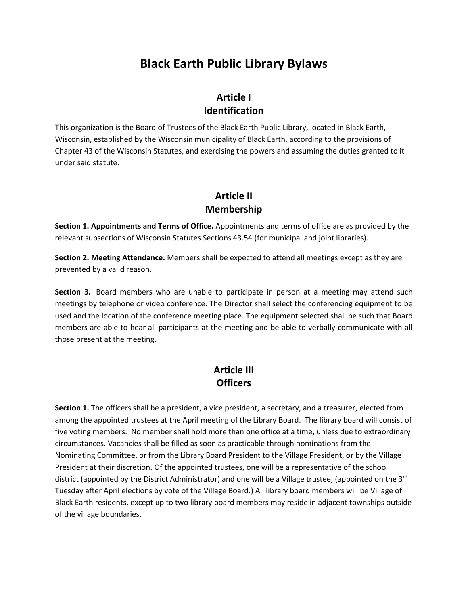# **Black Earth Public Library Bylaws**

### **Article I Identification**

This organization is the Board of Trustees of the Black Earth Public Library, located in Black Earth, Wisconsin, established by the Wisconsin municipality of Black Earth, according to the provisions of Chapter 43 of the Wisconsin Statutes, and exercising the powers and assuming the duties granted to it under said statute.

### **Article II Membership**

**Section 1. Appointments and Terms of Office.** Appointments and terms of office are as provided by the relevant subsections of Wisconsin Statutes Sections 43.54 (for municipal and joint libraries).

**Section 2. Meeting Attendance.** Members shall be expected to attend all meetings except as they are prevented by a valid reason.

**Section 3.** Board members who are unable to participate in person at a meeting may attend such meetings by telephone or video conference. The Director shall select the conferencing equipment to be used and the location of the conference meeting place. The equipment selected shall be such that Board members are able to hear all participants at the meeting and be able to verbally communicate with all those present at the meeting.

### **Article III Officers**

**Section 1.** The officers shall be a president, a vice president, a secretary, and a treasurer, elected from among the appointed trustees at the April meeting of the Library Board. The library board will consist of five voting members. No member shall hold more than one office at a time, unless due to extraordinary circumstances. Vacancies shall be filled as soon as practicable through nominations from the Nominating Committee, or from the Library Board President to the Village President, or by the Village President at their discretion. Of the appointed trustees, one will be a representative of the school district (appointed by the District Administrator) and one will be a Village trustee, (appointed on the 3<sup>rd</sup> Tuesday after April elections by vote of the Village Board.) All library board members will be Village of Black Earth residents, except up to two library board members may reside in adjacent townships outside of the village boundaries.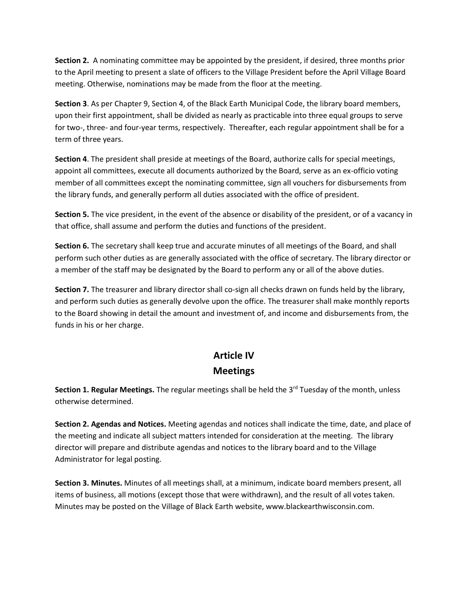**Section 2.** A nominating committee may be appointed by the president, if desired, three months prior to the April meeting to present a slate of officers to the Village President before the April Village Board meeting. Otherwise, nominations may be made from the floor at the meeting.

**Section 3**. As per Chapter 9, Section 4, of the Black Earth Municipal Code, the library board members, upon their first appointment, shall be divided as nearly as practicable into three equal groups to serve for two-, three- and four-year terms, respectively. Thereafter, each regular appointment shall be for a term of three years.

**Section 4**. The president shall preside at meetings of the Board, authorize calls for special meetings, appoint all committees, execute all documents authorized by the Board, serve as an ex-officio voting member of all committees except the nominating committee, sign all vouchers for disbursements from the library funds, and generally perform all duties associated with the office of president.

**Section 5.** The vice president, in the event of the absence or disability of the president, or of a vacancy in that office, shall assume and perform the duties and functions of the president.

**Section 6.** The secretary shall keep true and accurate minutes of all meetings of the Board, and shall perform such other duties as are generally associated with the office of secretary. The library director or a member of the staff may be designated by the Board to perform any or all of the above duties.

**Section 7.** The treasurer and library director shall co-sign all checks drawn on funds held by the library, and perform such duties as generally devolve upon the office. The treasurer shall make monthly reports to the Board showing in detail the amount and investment of, and income and disbursements from, the funds in his or her charge.

# **Article IV Meetings**

**Section 1. Regular Meetings.** The regular meetings shall be held the 3<sup>rd</sup> Tuesday of the month, unless otherwise determined.

**Section 2. Agendas and Notices.** Meeting agendas and notices shall indicate the time, date, and place of the meeting and indicate all subject matters intended for consideration at the meeting. The library director will prepare and distribute agendas and notices to the library board and to the Village Administrator for legal posting.

**Section 3. Minutes.** Minutes of all meetings shall, at a minimum, indicate board members present, all items of business, all motions (except those that were withdrawn), and the result of all votes taken. Minutes may be posted on the Village of Black Earth website, www.blackearthwisconsin.com.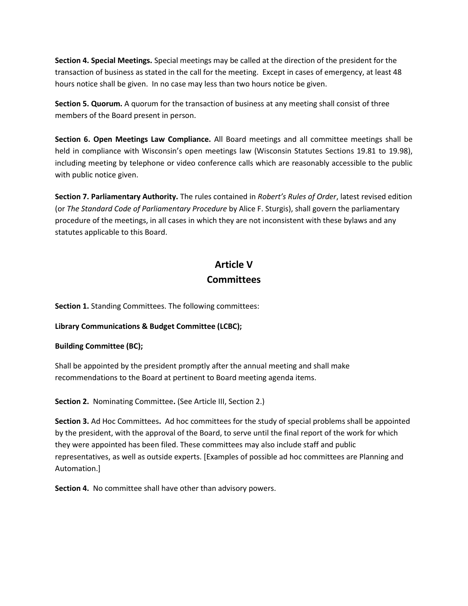**Section 4. Special Meetings.** Special meetings may be called at the direction of the president for the transaction of business as stated in the call for the meeting. Except in cases of emergency, at least 48 hours notice shall be given. In no case may less than two hours notice be given.

**Section 5. Quorum.** A quorum for the transaction of business at any meeting shall consist of three members of the Board present in person.

**Section 6. Open Meetings Law Compliance.** All Board meetings and all committee meetings shall be held in compliance with Wisconsin's open meetings law (Wisconsin Statutes Sections 19.81 to 19.98), including meeting by telephone or video conference calls which are reasonably accessible to the public with public notice given.

**Section 7. Parliamentary Authority.** The rules contained in *Robert's Rules of Order*, latest revised edition (or *The Standard Code of Parliamentary Procedure* by Alice F. Sturgis), shall govern the parliamentary procedure of the meetings, in all cases in which they are not inconsistent with these bylaws and any statutes applicable to this Board.

### **Article V Committees**

**Section 1.** Standing Committees. The following committees:

**Library Communications & Budget Committee (LCBC);** 

#### **Building Committee (BC);**

Shall be appointed by the president promptly after the annual meeting and shall make recommendations to the Board at pertinent to Board meeting agenda items.

**Section 2.** Nominating Committee**.** (See Article III, Section 2.)

**Section 3.** Ad Hoc Committees**.** Ad hoc committees for the study of special problems shall be appointed by the president, with the approval of the Board, to serve until the final report of the work for which they were appointed has been filed. These committees may also include staff and public representatives, as well as outside experts. [Examples of possible ad hoc committees are Planning and Automation.]

**Section 4.** No committee shall have other than advisory powers.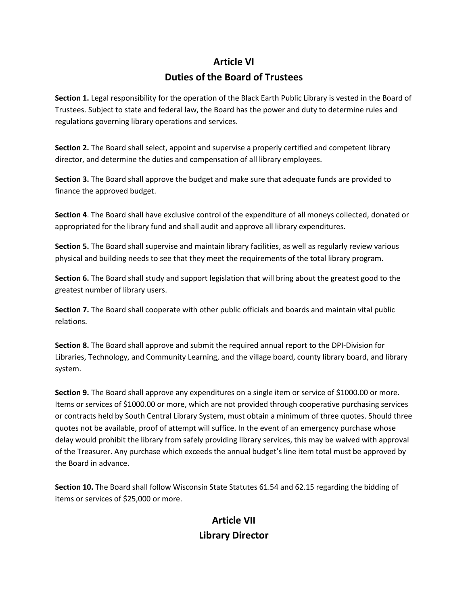## **Article VI Duties of the Board of Trustees**

**Section 1.** Legal responsibility for the operation of the Black Earth Public Library is vested in the Board of Trustees. Subject to state and federal law, the Board has the power and duty to determine rules and regulations governing library operations and services.

**Section 2.** The Board shall select, appoint and supervise a properly certified and competent library director, and determine the duties and compensation of all library employees.

**Section 3.** The Board shall approve the budget and make sure that adequate funds are provided to finance the approved budget.

**Section 4**. The Board shall have exclusive control of the expenditure of all moneys collected, donated or appropriated for the library fund and shall audit and approve all library expenditures.

**Section 5.** The Board shall supervise and maintain library facilities, as well as regularly review various physical and building needs to see that they meet the requirements of the total library program.

**Section 6.** The Board shall study and support legislation that will bring about the greatest good to the greatest number of library users.

**Section 7.** The Board shall cooperate with other public officials and boards and maintain vital public relations.

**Section 8.** The Board shall approve and submit the required annual report to the DPI-Division for Libraries, Technology, and Community Learning, and the village board, county library board, and library system.

**Section 9.** The Board shall approve any expenditures on a single item or service of \$1000.00 or more. Items or services of \$1000.00 or more, which are not provided through cooperative purchasing services or contracts held by South Central Library System, must obtain a minimum of three quotes. Should three quotes not be available, proof of attempt will suffice. In the event of an emergency purchase whose delay would prohibit the library from safely providing library services, this may be waived with approval of the Treasurer. Any purchase which exceeds the annual budget's line item total must be approved by the Board in advance.

**Section 10.** The Board shall follow Wisconsin State Statutes 61.54 and 62.15 regarding the bidding of items or services of \$25,000 or more.

## **Article VII Library Director**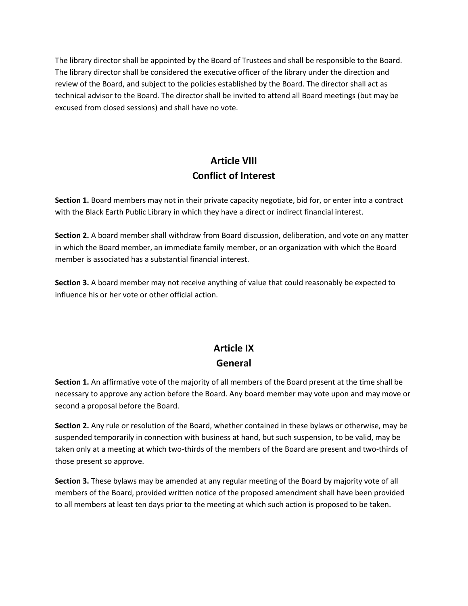The library director shall be appointed by the Board of Trustees and shall be responsible to the Board. The library director shall be considered the executive officer of the library under the direction and review of the Board, and subject to the policies established by the Board. The director shall act as technical advisor to the Board. The director shall be invited to attend all Board meetings (but may be excused from closed sessions) and shall have no vote.

# **Article VIII Conflict of Interest**

**Section 1.** Board members may not in their private capacity negotiate, bid for, or enter into a contract with the Black Earth Public Library in which they have a direct or indirect financial interest.

**Section 2.** A board member shall withdraw from Board discussion, deliberation, and vote on any matter in which the Board member, an immediate family member, or an organization with which the Board member is associated has a substantial financial interest.

**Section 3.** A board member may not receive anything of value that could reasonably be expected to influence his or her vote or other official action.

## **Article IX General**

**Section 1.** An affirmative vote of the majority of all members of the Board present at the time shall be necessary to approve any action before the Board. Any board member may vote upon and may move or second a proposal before the Board.

**Section 2.** Any rule or resolution of the Board, whether contained in these bylaws or otherwise, may be suspended temporarily in connection with business at hand, but such suspension, to be valid, may be taken only at a meeting at which two-thirds of the members of the Board are present and two-thirds of those present so approve.

**Section 3.** These bylaws may be amended at any regular meeting of the Board by majority vote of all members of the Board, provided written notice of the proposed amendment shall have been provided to all members at least ten days prior to the meeting at which such action is proposed to be taken.